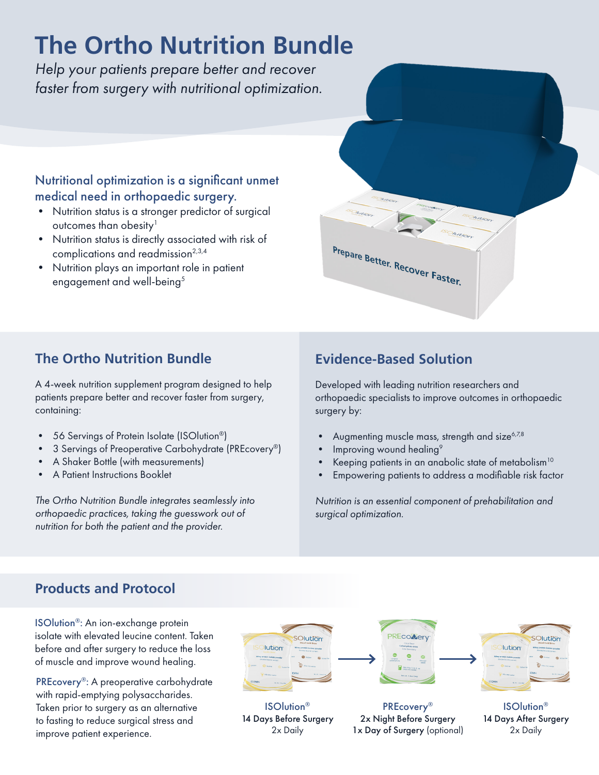# **The Ortho Nutrition Bundle**

*Help your patients prepare better and recover faster from surgery with nutritional optimization.*

## Nutritional optimization is a significant unmet medical need in orthopaedic surgery.

- Nutrition status is a stronger predictor of surgical outcomes than obesity<sup>1</sup>
- Nutrition status is directly associated with risk of complications and readmission<sup>2,3,4</sup>
- Nutrition plays an important role in patient engagement and well-being<sup>5</sup>

# **The Ortho Nutrition Bundle Evidence-Based Solution**

A 4-week nutrition supplement program designed to help patients prepare better and recover faster from surgery, containing:

- 56 Servings of Protein Isolate (ISOlution®)
- 3 Servings of Preoperative Carbohydrate (PREcovery®)
- A Shaker Bottle (with measurements)
- A Patient Instructions Booklet

*The Ortho Nutrition Bundle integrates seamlessly into orthopaedic practices, taking the guesswork out of nutrition for both the patient and the provider.*

Prepare Better. Recover Faster.

Developed with leading nutrition researchers and orthopaedic specialists to improve outcomes in orthopaedic surgery by:

- Augmenting muscle mass, strength and size<sup>6,7,8</sup>
- Improving wound healing<sup>9</sup>
- Keeping patients in an anabolic state of metabolism<sup>10</sup>
- Empowering patients to address a modifiable risk factor

*Nutrition is an essential component of prehabilitation and surgical optimization.* 

# **Products and Protocol**

ISOlution®: An ion-exchange protein isolate with elevated leucine content. Taken before and after surgery to reduce the loss of muscle and improve wound healing.

PREcovery®: A preoperative carbohydrate with rapid-emptying polysaccharides. Taken prior to surgery as an alternative to fasting to reduce surgical stress and improve patient experience.



ISOlution® 14 Days Before Surgery 2x Daily

**PREcoMery** 

PREcovery® 2x Night Before Surgery 1x Day of Surgery (optional)



ISOlution® 14 Days After Surgery 2x Daily